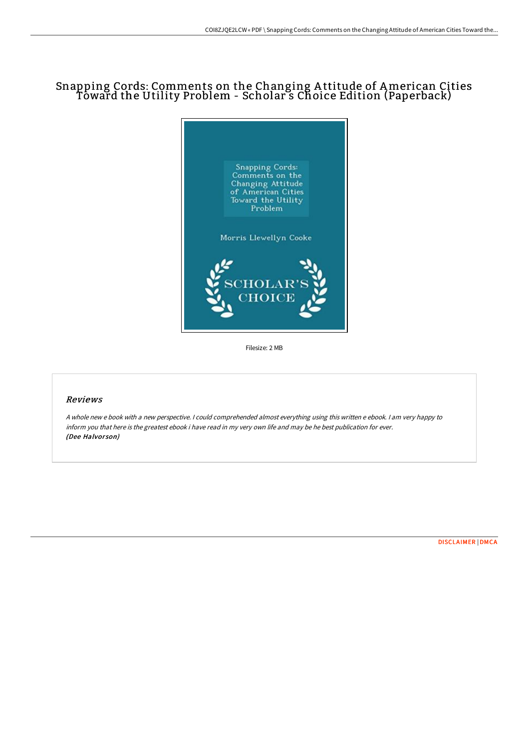## Snapping Cords: Comments on the Changing A ttitude of American Cities Toward the Utility Problem - Scholar s Choice Edition (Paperback)



Filesize: 2 MB

## Reviews

A whole new <sup>e</sup> book with <sup>a</sup> new perspective. I could comprehended almost everything using this written <sup>e</sup> ebook. I am very happy to inform you that here is the greatest ebook i have read in my very own life and may be he best publication for ever. (Dee Halvorson)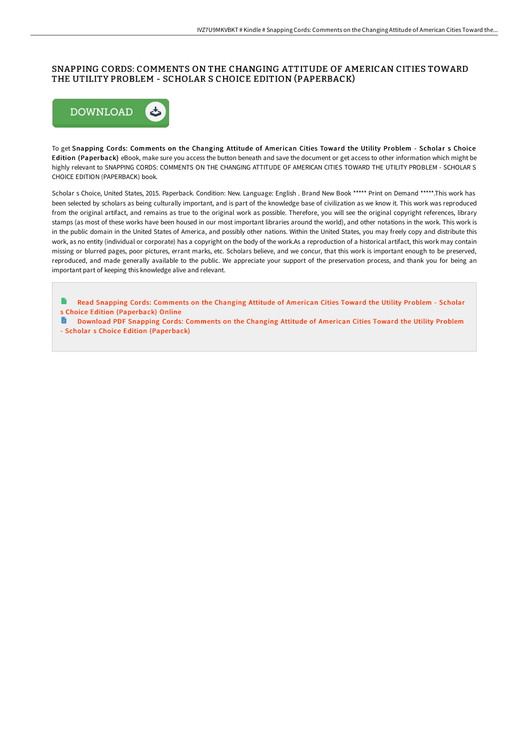## SNAPPING CORDS: COMMENTS ON THE CHANGING ATTITUDE OF AMERICAN CITIES TOWARD THE UTILITY PROBLEM - SCHOLAR S CHOICE EDITION (PAPERBACK)



To get Snapping Cords: Comments on the Changing Attitude of American Cities Toward the Utility Problem - Scholar s Choice Edition (Paperback) eBook, make sure you access the button beneath and save the document or get access to other information which might be highly relevant to SNAPPING CORDS: COMMENTS ON THE CHANGING ATTITUDE OF AMERICAN CITIES TOWARD THE UTILITY PROBLEM - SCHOLAR S CHOICE EDITION (PAPERBACK) book.

Scholar s Choice, United States, 2015. Paperback. Condition: New. Language: English . Brand New Book \*\*\*\*\* Print on Demand \*\*\*\*\*.This work has been selected by scholars as being culturally important, and is part of the knowledge base of civilization as we know it. This work was reproduced from the original artifact, and remains as true to the original work as possible. Therefore, you will see the original copyright references, library stamps (as most of these works have been housed in our most important libraries around the world), and other notations in the work. This work is in the public domain in the United States of America, and possibly other nations. Within the United States, you may freely copy and distribute this work, as no entity (individual or corporate) has a copyright on the body of the work.As a reproduction of a historical artifact, this work may contain missing or blurred pages, poor pictures, errant marks, etc. Scholars believe, and we concur, that this work is important enough to be preserved, reproduced, and made generally available to the public. We appreciate your support of the preservation process, and thank you for being an important part of keeping this knowledge alive and relevant.

- Read Snapping Cords: Comments on the Changing Attitude of American Cities Toward the Utility Problem Scholar s Choice Edition [\(Paperback\)](http://techno-pub.tech/snapping-cords-comments-on-the-changing-attitude-3.html) Online
- $\blacksquare$ Download PDF Snapping Cords: Comments on the Changing Attitude of American Cities Toward the Utility Problem - Scholar s Choice Edition [\(Paperback\)](http://techno-pub.tech/snapping-cords-comments-on-the-changing-attitude-3.html)